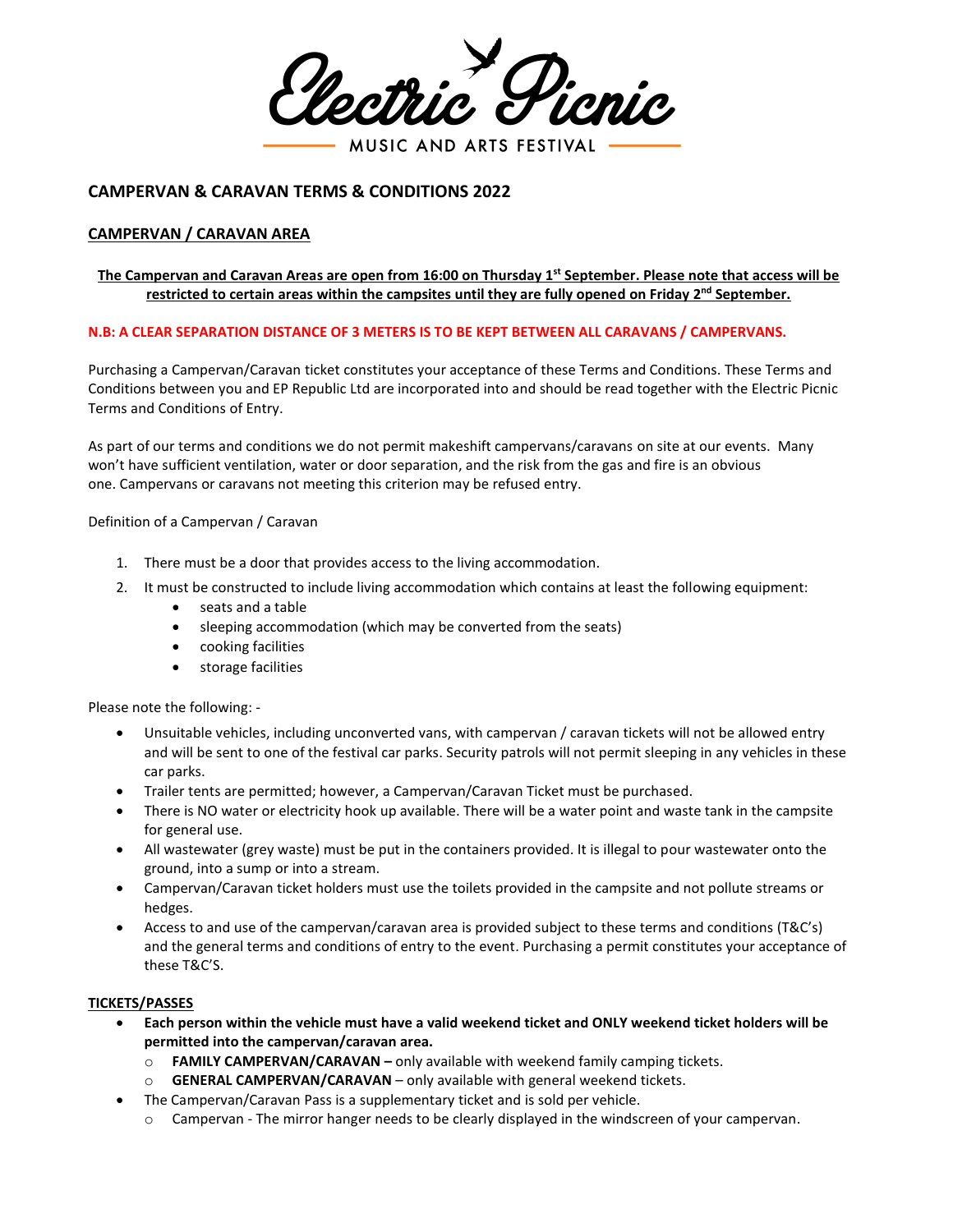lectri MUSIC AND ARTS FESTIVAL

# **CAMPERVAN & CARAVAN TERMS & CONDITIONS 2022**

## **CAMPERVAN / CARAVAN AREA**

## **The Campervan and Caravan Areas are open from 16:00 on Thursday 1 st September. Please note that access will be restricted to certain areas within the campsites until they are fully opened on Friday 2 nd September.**

#### **N.B: A CLEAR SEPARATION DISTANCE OF 3 METERS IS TO BE KEPT BETWEEN ALL CARAVANS / CAMPERVANS.**

Purchasing a Campervan/Caravan ticket constitutes your acceptance of these Terms and Conditions. These Terms and Conditions between you and EP Republic Ltd are incorporated into and should be read together with the Electric Picnic Terms and Conditions of Entry.

As part of our terms and conditions we do not permit makeshift campervans/caravans on site at our events. Many won't have sufficient ventilation, water or door separation, and the risk from the gas and fire is an obvious one. Campervans or caravans not meeting this criterion may be refused entry.

Definition of a Campervan / Caravan

- 1. There must be a door that provides access to the living accommodation.
- 2. It must be constructed to include living accommodation which contains at least the following equipment:
	- seats and a table
	- sleeping accommodation (which may be converted from the seats)
	- cooking facilities
	- storage facilities

Please note the following: -

- Unsuitable vehicles, including unconverted vans, with campervan / caravan tickets will not be allowed entry and will be sent to one of the festival car parks. Security patrols will not permit sleeping in any vehicles in these car parks.
- Trailer tents are permitted; however, a Campervan/Caravan Ticket must be purchased.
- There is NO water or electricity hook up available. There will be a water point and waste tank in the campsite for general use.
- All wastewater (grey waste) must be put in the containers provided. It is illegal to pour wastewater onto the ground, into a sump or into a stream.
- Campervan/Caravan ticket holders must use the toilets provided in the campsite and not pollute streams or hedges.
- Access to and use of the campervan/caravan area is provided subject to these terms and conditions (T&C's) and the general terms and conditions of entry to the event. Purchasing a permit constitutes your acceptance of these T&C'S.

#### **TICKETS/PASSES**

- **Each person within the vehicle must have a valid weekend ticket and ONLY weekend ticket holders will be permitted into the campervan/caravan area.**
	- o **FAMILY CAMPERVAN/CARAVAN –** only available with weekend family camping tickets.
	- o **GENERAL CAMPERVAN/CARAVAN** only available with general weekend tickets.
- The Campervan/Caravan Pass is a supplementary ticket and is sold per vehicle.
	- o Campervan The mirror hanger needs to be clearly displayed in the windscreen of your campervan.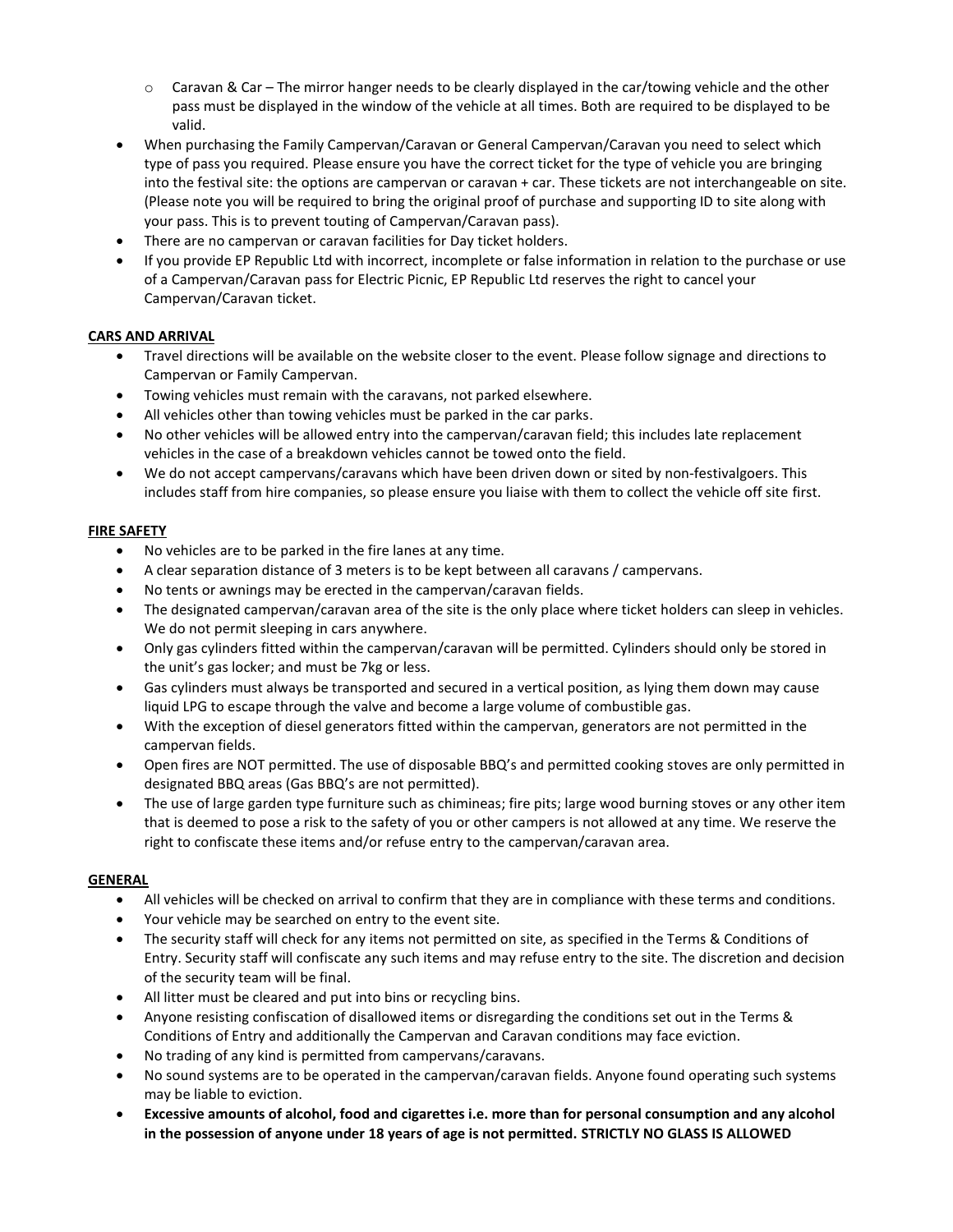- $\circ$  Caravan & Car The mirror hanger needs to be clearly displayed in the car/towing vehicle and the other pass must be displayed in the window of the vehicle at all times. Both are required to be displayed to be valid.
- When purchasing the Family Campervan/Caravan or General Campervan/Caravan you need to select which type of pass you required. Please ensure you have the correct ticket for the type of vehicle you are bringing into the festival site: the options are campervan or caravan + car. These tickets are not interchangeable on site. (Please note you will be required to bring the original proof of purchase and supporting ID to site along with your pass. This is to prevent touting of Campervan/Caravan pass).
- There are no campervan or caravan facilities for Day ticket holders.
- If you provide EP Republic Ltd with incorrect, incomplete or false information in relation to the purchase or use of a Campervan/Caravan pass for Electric Picnic, EP Republic Ltd reserves the right to cancel your Campervan/Caravan ticket.

# **CARS AND ARRIVAL**

- Travel directions will be available on the website closer to the event. Please follow signage and directions to Campervan or Family Campervan.
- Towing vehicles must remain with the caravans, not parked elsewhere.
- All vehicles other than towing vehicles must be parked in the car parks.
- No other vehicles will be allowed entry into the campervan/caravan field; this includes late replacement vehicles in the case of a breakdown vehicles cannot be towed onto the field.
- We do not accept campervans/caravans which have been driven down or sited by non-festivalgoers. This includes staff from hire companies, so please ensure you liaise with them to collect the vehicle off site first.

#### **FIRE SAFETY**

- No vehicles are to be parked in the fire lanes at any time.
- A clear separation distance of 3 meters is to be kept between all caravans / campervans.
- No tents or awnings may be erected in the campervan/caravan fields.
- The designated campervan/caravan area of the site is the only place where ticket holders can sleep in vehicles. We do not permit sleeping in cars anywhere.
- Only gas cylinders fitted within the campervan/caravan will be permitted. Cylinders should only be stored in the unit's gas locker; and must be 7kg or less.
- Gas cylinders must always be transported and secured in a vertical position, as lying them down may cause liquid LPG to escape through the valve and become a large volume of combustible gas.
- With the exception of diesel generators fitted within the campervan, generators are not permitted in the campervan fields.
- Open fires are NOT permitted. The use of disposable BBQ's and permitted cooking stoves are only permitted in designated BBQ areas (Gas BBQ's are not permitted).
- The use of large garden type furniture such as chimineas; fire pits; large wood burning stoves or any other item that is deemed to pose a risk to the safety of you or other campers is not allowed at any time. We reserve the right to confiscate these items and/or refuse entry to the campervan/caravan area.

#### **GENERAL**

- All vehicles will be checked on arrival to confirm that they are in compliance with these terms and conditions.
- Your vehicle may be searched on entry to the event site.
- The security staff will check for any items not permitted on site, as specified in the Terms & Conditions of Entry. Security staff will confiscate any such items and may refuse entry to the site. The discretion and decision of the security team will be final.
- All litter must be cleared and put into bins or recycling bins.
- Anyone resisting confiscation of disallowed items or disregarding the conditions set out in the Terms & Conditions of Entry and additionally the Campervan and Caravan conditions may face eviction.
- No trading of any kind is permitted from campervans/caravans.
- No sound systems are to be operated in the campervan/caravan fields. Anyone found operating such systems may be liable to eviction.
- **Excessive amounts of alcohol, food and cigarettes i.e. more than for personal consumption and any alcohol in the possession of anyone under 18 years of age is not permitted. STRICTLY NO GLASS IS ALLOWED**